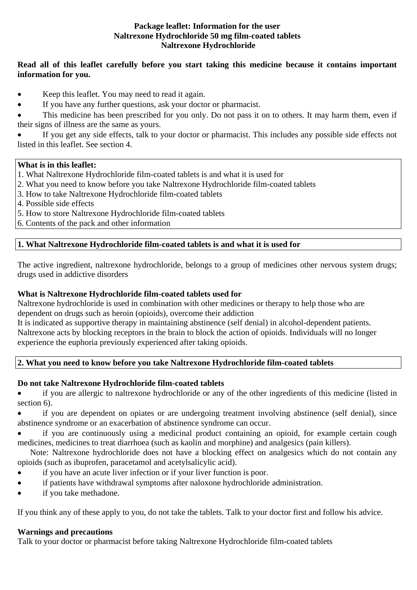### **Package leaflet: Information for the user Naltrexone Hydrochloride 50 mg film-coated tablets Naltrexone Hydrochloride**

# **Read all of this leaflet carefully before you start taking this medicine because it contains important information for you.**

- Keep this leaflet. You may need to read it again.
- If you have any further questions, ask your doctor or pharmacist.

 This medicine has been prescribed for you only. Do not pass it on to others. It may harm them, even if their signs of illness are the same as yours.

 If you get any side effects, talk to your doctor or pharmacist. This includes any possible side effects not listed in this leaflet. See section 4.

# **What is in this leaflet:**

- 1. What Naltrexone Hydrochloride film-coated tablets is and what it is used for
- 2. What you need to know before you take Naltrexone Hydrochloride film-coated tablets
- 3. How to take Naltrexone Hydrochloride film-coated tablets
- 4. Possible side effects
- 5. How to store Naltrexone Hydrochloride film-coated tablets
- 6. Contents of the pack and other information

# **1. What Naltrexone Hydrochloride film-coated tablets is and what it is used for**

The active ingredient, naltrexone hydrochloride, belongs to a group of medicines other nervous system drugs; drugs used in addictive disorders

# **What is Naltrexone Hydrochloride film-coated tablets used for**

Naltrexone hydrochloride is used in combination with other medicines or therapy to help those who are dependent on drugs such as heroin (opioids), overcome their addiction

It is indicated as supportive therapy in maintaining abstinence (self denial) in alcohol-dependent patients. Naltrexone acts by blocking receptors in the brain to block the action of opioids. Individuals will no longer experience the euphoria previously experienced after taking opioids.

### **2. What you need to know before you take Naltrexone Hydrochloride film-coated tablets**

# **Do not take Naltrexone Hydrochloride film-coated tablets**

 if you are allergic to naltrexone hydrochloride or any of the other ingredients of this medicine (listed in section 6).

 if you are dependent on opiates or are undergoing treatment involving abstinence (self denial), since abstinence syndrome or an exacerbation of abstinence syndrome can occur.

 if you are continuously using a medicinal product containing an opioid, for example certain cough medicines, medicines to treat diarrhoea (such as kaolin and morphine) and analgesics (pain killers).

 Note: Naltrexone hydrochloride does not have a blocking effect on analgesics which do not contain any opioids (such as ibuprofen, paracetamol and acetylsalicylic acid).

- if you have an acute liver infection or if your liver function is poor.
- if patients have withdrawal symptoms after naloxone hydrochloride administration.
- if you take methadone.

If you think any of these apply to you, do not take the tablets. Talk to your doctor first and follow his advice.

### **Warnings and precautions**

Talk to your doctor or pharmacist before taking Naltrexone Hydrochloride film-coated tablets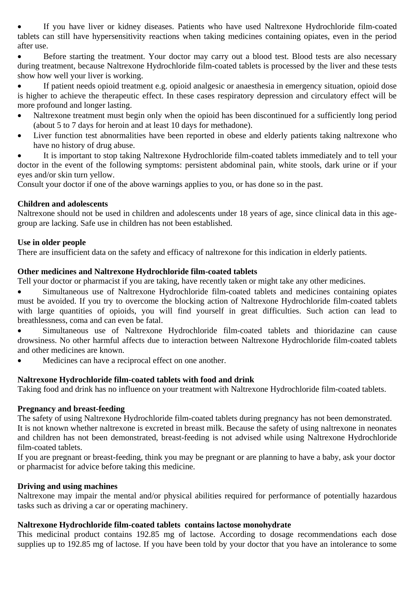If you have liver or kidney diseases. Patients who have used Naltrexone Hydrochloride film-coated tablets can still have hypersensitivity reactions when taking medicines containing opiates, even in the period after use.

 Before starting the treatment. Your doctor may carry out a blood test. Blood tests are also necessary during treatment, because Naltrexone Hydrochloride film-coated tablets is processed by the liver and these tests show how well your liver is working.

 If patient needs opioid treatment e.g. opioid analgesic or anaesthesia in emergency situation, opioid dose is higher to achieve the therapeutic effect. In these cases respiratory depression and circulatory effect will be more profound and longer lasting.

- Naltrexone treatment must begin only when the opioid has been discontinued for a sufficiently long period (about 5 to 7 days for heroin and at least 10 days for methadone).
- Liver function test abnormalities have been reported in obese and elderly patients taking naltrexone who have no history of drug abuse.

 It is important to stop taking Naltrexone Hydrochloride film-coated tablets immediately and to tell your doctor in the event of the following symptoms: persistent abdominal pain, white stools, dark urine or if your eyes and/or skin turn yellow.

Consult your doctor if one of the above warnings applies to you, or has done so in the past.

#### **Children and adolescents**

Naltrexone should not be used in children and adolescents under 18 years of age, since clinical data in this agegroup are lacking. Safe use in children has not been established.

#### **Use in older people**

There are insufficient data on the safety and efficacy of naltrexone for this indication in elderly patients.

#### **Other medicines and Naltrexone Hydrochloride film-coated tablets**

Tell your doctor or pharmacist if you are taking, have recently taken or might take any other medicines.

 Simultaneous use of Naltrexone Hydrochloride film-coated tablets and medicines containing opiates must be avoided. If you try to overcome the blocking action of Naltrexone Hydrochloride film-coated tablets with large quantities of opioids, you will find yourself in great difficulties. Such action can lead to breathlessness, coma and can even be fatal.

 Simultaneous use of Naltrexone Hydrochloride film-coated tablets and thioridazine can cause drowsiness. No other harmful affects due to interaction between Naltrexone Hydrochloride film-coated tablets and other medicines are known.

Medicines can have a reciprocal effect on one another.

### **Naltrexone Hydrochloride film-coated tablets with food and drink**

Taking food and drink has no influence on your treatment with Naltrexone Hydrochloride film-coated tablets.

### **Pregnancy and breast-feeding**

The safety of using Naltrexone Hydrochloride film-coated tablets during pregnancy has not been demonstrated. It is not known whether naltrexone is excreted in breast milk. Because the safety of using naltrexone in neonates and children has not been demonstrated, breast-feeding is not advised while using Naltrexone Hydrochloride film-coated tablets.

If you are pregnant or breast-feeding, think you may be pregnant or are planning to have a baby, ask your doctor or pharmacist for advice before taking this medicine.

### **Driving and using machines**

Naltrexone may impair the mental and/or physical abilities required for performance of potentially hazardous tasks such as driving a car or operating machinery.

### **Naltrexone Hydrochloride film-coated tablets contains lactose monohydrate**

This medicinal product contains 192.85 mg of lactose. According to dosage recommendations each dose supplies up to 192.85 mg of lactose. If you have been told by your doctor that you have an intolerance to some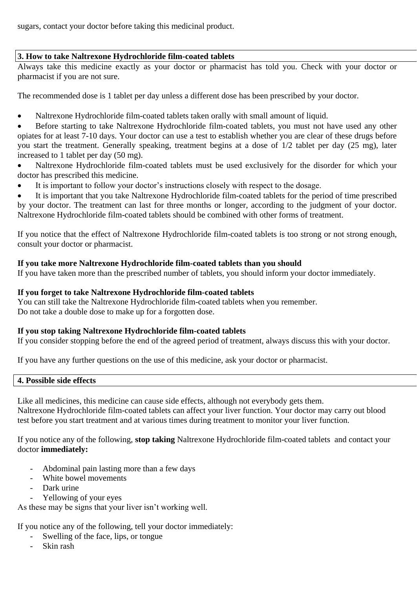sugars, contact your doctor before taking this medicinal product.

# **3. How to take Naltrexone Hydrochloride film-coated tablets**

Always take this medicine exactly as your doctor or pharmacist has told you. Check with your doctor or pharmacist if you are not sure.

The recommended dose is 1 tablet per day unless a different dose has been prescribed by your doctor.

• Naltrexone Hydrochloride film-coated tablets taken orally with small amount of liquid.

 Before starting to take Naltrexone Hydrochloride film-coated tablets, you must not have used any other opiates for at least 7-10 days. Your doctor can use a test to establish whether you are clear of these drugs before you start the treatment. Generally speaking, treatment begins at a dose of 1/2 tablet per day (25 mg), later increased to 1 tablet per day (50 mg).

- Naltrexone Hydrochloride film-coated tablets must be used exclusively for the disorder for which your doctor has prescribed this medicine.
- It is important to follow your doctor's instructions closely with respect to the dosage.

 It is important that you take Naltrexone Hydrochloride film-coated tablets for the period of time prescribed by your doctor. The treatment can last for three months or longer, according to the judgment of your doctor. Naltrexone Hydrochloride film-coated tablets should be combined with other forms of treatment.

If you notice that the effect of Naltrexone Hydrochloride film-coated tablets is too strong or not strong enough, consult your doctor or pharmacist.

# **If you take more Naltrexone Hydrochloride film-coated tablets than you should**

If you have taken more than the prescribed number of tablets, you should inform your doctor immediately.

## **If you forget to take Naltrexone Hydrochloride film-coated tablets**

You can still take the Naltrexone Hydrochloride film-coated tablets when you remember. Do not take a double dose to make up for a forgotten dose.

### **If you stop taking Naltrexone Hydrochloride film-coated tablets**

If you consider stopping before the end of the agreed period of treatment, always discuss this with your doctor.

If you have any further questions on the use of this medicine, ask your doctor or pharmacist.

### **4. Possible side effects**

Like all medicines, this medicine can cause side effects, although not everybody gets them. Naltrexone Hydrochloride film-coated tablets can affect your liver function. Your doctor may carry out blood test before you start treatment and at various times during treatment to monitor your liver function.

If you notice any of the following, **stop taking** Naltrexone Hydrochloride film-coated tablets and contact your doctor **immediately:** 

- Abdominal pain lasting more than a few days
- White bowel movements
- Dark urine
- Yellowing of your eyes

As these may be signs that your liver isn't working well.

If you notice any of the following, tell your doctor immediately:

- Swelling of the face, lips, or tongue
- Skin rash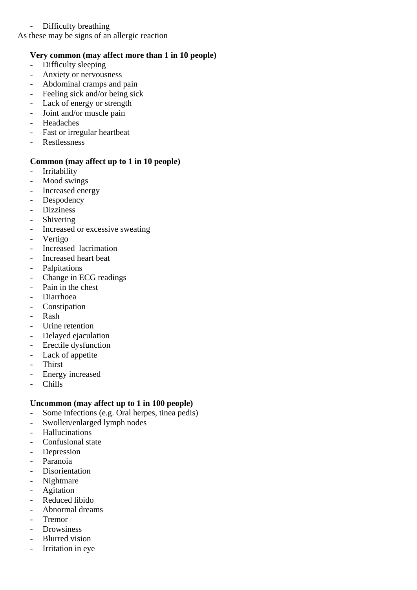## - Difficulty breathing

As these may be signs of an allergic reaction

## **Very common (may affect more than 1 in 10 people)**

- Difficulty sleeping
- Anxiety or nervousness
- Abdominal cramps and pain
- Feeling sick and/or being sick
- Lack of energy or strength
- Joint and/or muscle pain
- Headaches
- Fast or irregular heartbeat
- Restlessness

#### **Common (may affect up to 1 in 10 people)**

- Irritability
- Mood swings
- Increased energy
- Despodency
- Dizziness
- Shivering
- Increased or excessive sweating
- Vertigo
- Increased lacrimation
- Increased heart beat
- Palpitations
- Change in ECG readings
- Pain in the chest
- Diarrhoea
- Constipation
- Rash
- Urine retention
- Delayed ejaculation
- Erectile dysfunction
- Lack of appetite
- Thirst
- Energy increased
- Chills

### **Uncommon (may affect up to 1 in 100 people)**

- Some infections (e.g. Oral herpes, tinea pedis)
- Swollen/enlarged lymph nodes
- Hallucinations
- Confusional state
- Depression
- Paranoia
- Disorientation
- Nightmare
- Agitation
- Reduced libido
- Abnormal dreams
- Tremor
- Drowsiness
- Blurred vision
- Irritation in eye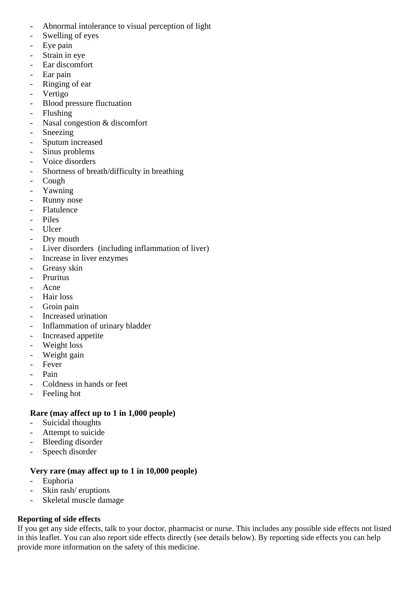- Abnormal intolerance to visual perception of light
- Swelling of eyes
- Eye pain
- Strain in eye
- Ear discomfort
- Ear pain
- Ringing of ear
- Vertigo
- Blood pressure fluctuation
- Flushing
- Nasal congestion & discomfort
- Sneezing
- Sputum increased
- Sinus problems
- Voice disorders
- Shortness of breath/difficulty in breathing
- Cough
- Yawning
- Runny nose
- Flatulence
- Piles
- Ulcer
- Dry mouth
- Liver disorders (including inflammation of liver)
- Increase in liver enzymes
- Greasy skin
- Pruritus
- Acne
- Hair loss
- Groin pain
- Increased urination
- Inflammation of urinary bladder
- Increased appetite
- Weight loss
- Weight gain
- Fever
- Pain
- Coldness in hands or feet
- Feeling hot

# **Rare (may affect up to 1 in 1,000 people)**

- Suicidal thoughts
- Attempt to suicide
- Bleeding disorder
- Speech disorder

# **Very rare (may affect up to 1 in 10,000 people)**

- Euphoria
- Skin rash/ eruptions
- Skeletal muscle damage

# **Reporting of side effects**

If you get any side effects, talk to your doctor, pharmacist or nurse. This includes any possible side effects not listed in this leaflet. You can also report side effects directly (see details below). By reporting side effects you can help provide more information on the safety of this medicine.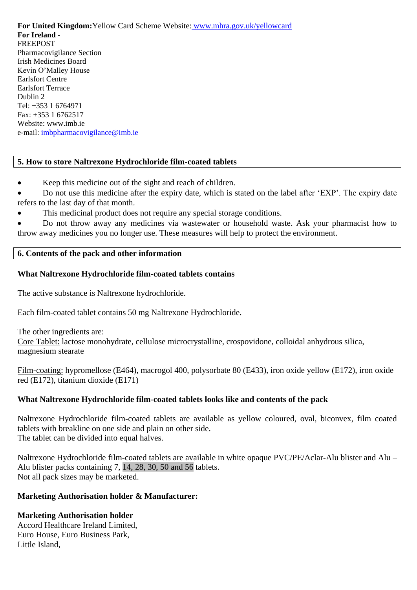**For United Kingdom:**Yellow Card Scheme Website: www.mhra.gov.uk/yellowcard **For Ireland** - FREEPOST Pharmacovigilance Section Irish Medicines Board Kevin O'Malley House Earlsfort Centre Earlsfort Terrace Dublin 2 Tel: +353 1 6764971 Fax: +353 1 6762517 Website: www.imb.ie e-mail: [imbpharmacovigilance@imb.ie](mailto:imbpharmacovigilance@imb.ie)

### **5. How to store Naltrexone Hydrochloride film-coated tablets**

- Keep this medicine out of the sight and reach of children.
- Do not use this medicine after the expiry date, which is stated on the label after 'EXP'. The expiry date refers to the last day of that month.
- This medicinal product does not require any special storage conditions.

 Do not throw away any medicines via wastewater or household waste. Ask your pharmacist how to throw away medicines you no longer use. These measures will help to protect the environment.

### **6. Contents of the pack and other information**

#### **What Naltrexone Hydrochloride film-coated tablets contains**

The active substance is Naltrexone hydrochloride.

Each film-coated tablet contains 50 mg Naltrexone Hydrochloride.

The other ingredients are:

Core Tablet: lactose monohydrate, cellulose microcrystalline, crospovidone, colloidal anhydrous silica, magnesium stearate

Film-coating: hypromellose (E464), macrogol 400, polysorbate 80 (E433), iron oxide yellow (E172), iron oxide red (E172), titanium dioxide (E171)

### **What Naltrexone Hydrochloride film-coated tablets looks like and contents of the pack**

Naltrexone Hydrochloride film-coated tablets are available as yellow coloured, oval, biconvex, film coated tablets with breakline on one side and plain on other side. The tablet can be divided into equal halves.

Naltrexone Hydrochloride film-coated tablets are available in white opaque PVC/PE/Aclar-Alu blister and Alu – Alu blister packs containing 7, 14, 28, 30, 50 and 56 tablets. Not all pack sizes may be marketed.

# **Marketing Authorisation holder & Manufacturer:**

### **Marketing Authorisation holder**

Accord Healthcare Ireland Limited, Euro House, Euro Business Park, Little Island,